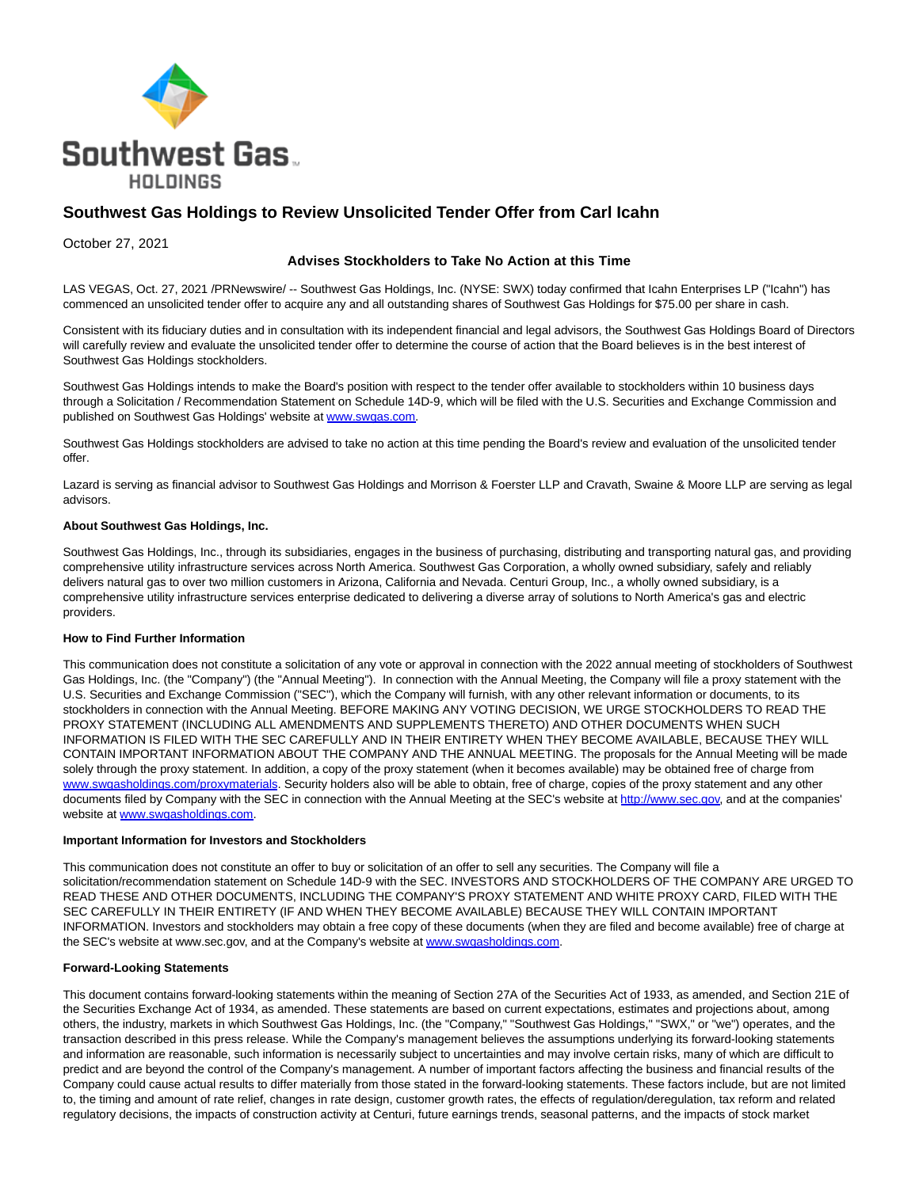

# **Southwest Gas Holdings to Review Unsolicited Tender Offer from Carl Icahn**

October 27, 2021

## **Advises Stockholders to Take No Action at this Time**

LAS VEGAS, Oct. 27, 2021 /PRNewswire/ -- Southwest Gas Holdings, Inc. (NYSE: SWX) today confirmed that Icahn Enterprises LP ("Icahn") has commenced an unsolicited tender offer to acquire any and all outstanding shares of Southwest Gas Holdings for \$75.00 per share in cash.

Consistent with its fiduciary duties and in consultation with its independent financial and legal advisors, the Southwest Gas Holdings Board of Directors will carefully review and evaluate the unsolicited tender offer to determine the course of action that the Board believes is in the best interest of Southwest Gas Holdings stockholders.

Southwest Gas Holdings intends to make the Board's position with respect to the tender offer available to stockholders within 10 business days through a Solicitation / Recommendation Statement on Schedule 14D-9, which will be filed with the U.S. Securities and Exchange Commission and published on Southwest Gas Holdings' website at [www.swgas.com.](https://c212.net/c/link/?t=0&l=en&o=3337579-1&h=1897901515&u=http%3A%2F%2Fwww.swgas.com%2F&a=www.swgas.com)

Southwest Gas Holdings stockholders are advised to take no action at this time pending the Board's review and evaluation of the unsolicited tender offer.

Lazard is serving as financial advisor to Southwest Gas Holdings and Morrison & Foerster LLP and Cravath, Swaine & Moore LLP are serving as legal advisors.

#### **About Southwest Gas Holdings, Inc.**

Southwest Gas Holdings, Inc., through its subsidiaries, engages in the business of purchasing, distributing and transporting natural gas, and providing comprehensive utility infrastructure services across North America. Southwest Gas Corporation, a wholly owned subsidiary, safely and reliably delivers natural gas to over two million customers in Arizona, California and Nevada. Centuri Group, Inc., a wholly owned subsidiary, is a comprehensive utility infrastructure services enterprise dedicated to delivering a diverse array of solutions to North America's gas and electric providers.

## **How to Find Further Information**

This communication does not constitute a solicitation of any vote or approval in connection with the 2022 annual meeting of stockholders of Southwest Gas Holdings, Inc. (the "Company") (the "Annual Meeting"). In connection with the Annual Meeting, the Company will file a proxy statement with the U.S. Securities and Exchange Commission ("SEC"), which the Company will furnish, with any other relevant information or documents, to its stockholders in connection with the Annual Meeting. BEFORE MAKING ANY VOTING DECISION, WE URGE STOCKHOLDERS TO READ THE PROXY STATEMENT (INCLUDING ALL AMENDMENTS AND SUPPLEMENTS THERETO) AND OTHER DOCUMENTS WHEN SUCH INFORMATION IS FILED WITH THE SEC CAREFULLY AND IN THEIR ENTIRETY WHEN THEY BECOME AVAILABLE, BECAUSE THEY WILL CONTAIN IMPORTANT INFORMATION ABOUT THE COMPANY AND THE ANNUAL MEETING. The proposals for the Annual Meeting will be made solely through the proxy statement. In addition, a copy of the proxy statement (when it becomes available) may be obtained free of charge from [www.swgasholdings.com/proxymaterials.](https://c212.net/c/link/?t=0&l=en&o=3337579-1&h=980415511&u=https%3A%2F%2Fprotect-us.mimecast.com%2Fs%2FWGvoCR65kXUvGEQxQHN_gmC%3Fdomain%3Dswgasholdings.com&a=www.swgasholdings.com%2Fproxymaterials) Security holders also will be able to obtain, free of charge, copies of the proxy statement and any other documents filed by Company with the SEC in connection with the Annual Meeting at the SEC's website at [http://www.sec.gov,](http://www.sec.gov/) and at the companies' website at [www.swgasholdings.com.](https://c212.net/c/link/?t=0&l=en&o=3337579-1&h=924778818&u=http%3A%2F%2Fwww.swgasholdings.com%2F&a=www.swgasholdings.com)

## **Important Information for Investors and Stockholders**

This communication does not constitute an offer to buy or solicitation of an offer to sell any securities. The Company will file a solicitation/recommendation statement on Schedule 14D-9 with the SEC. INVESTORS AND STOCKHOLDERS OF THE COMPANY ARE URGED TO READ THESE AND OTHER DOCUMENTS, INCLUDING THE COMPANY'S PROXY STATEMENT AND WHITE PROXY CARD, FILED WITH THE SEC CAREFULLY IN THEIR ENTIRETY (IF AND WHEN THEY BECOME AVAILABLE) BECAUSE THEY WILL CONTAIN IMPORTANT INFORMATION. Investors and stockholders may obtain a free copy of these documents (when they are filed and become available) free of charge at the SEC's website at www.sec.gov, and at the Company's website at [www.swgasholdings.com.](https://c212.net/c/link/?t=0&l=en&o=3337579-1&h=924778818&u=http%3A%2F%2Fwww.swgasholdings.com%2F&a=www.swgasholdings.com)

#### **Forward-Looking Statements**

This document contains forward-looking statements within the meaning of Section 27A of the Securities Act of 1933, as amended, and Section 21E of the Securities Exchange Act of 1934, as amended. These statements are based on current expectations, estimates and projections about, among others, the industry, markets in which Southwest Gas Holdings, Inc. (the "Company," "Southwest Gas Holdings," "SWX," or "we") operates, and the transaction described in this press release. While the Company's management believes the assumptions underlying its forward-looking statements and information are reasonable, such information is necessarily subject to uncertainties and may involve certain risks, many of which are difficult to predict and are beyond the control of the Company's management. A number of important factors affecting the business and financial results of the Company could cause actual results to differ materially from those stated in the forward-looking statements. These factors include, but are not limited to, the timing and amount of rate relief, changes in rate design, customer growth rates, the effects of regulation/deregulation, tax reform and related regulatory decisions, the impacts of construction activity at Centuri, future earnings trends, seasonal patterns, and the impacts of stock market